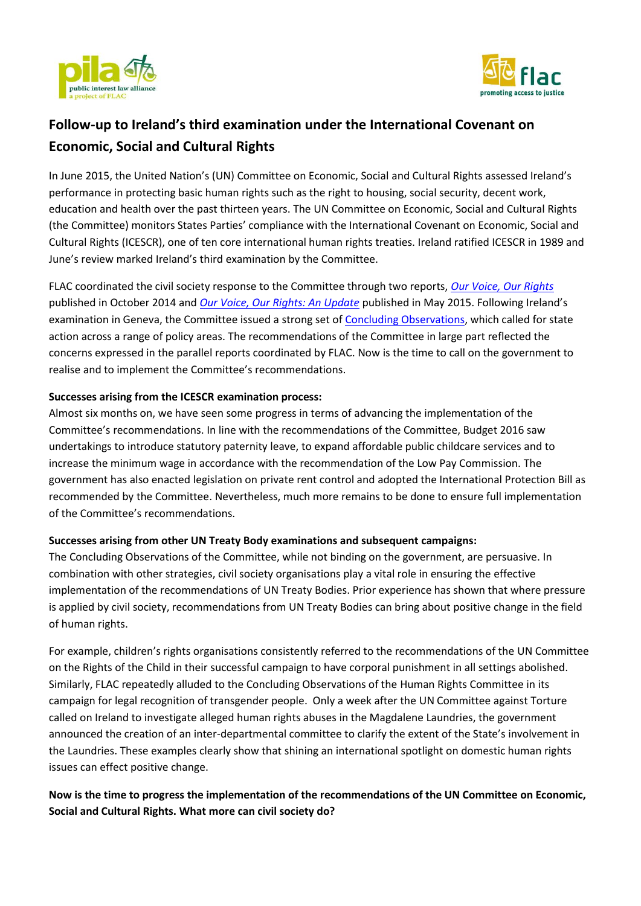



## **Follow-up to Ireland's third examination under the International Covenant on Economic, Social and Cultural Rights**

In June 2015, the United Nation's (UN) Committee on Economic, Social and Cultural Rights assessed Ireland's performance in protecting basic human rights such as the right to housing, social security, decent work, education and health over the past thirteen years. The UN Committee on Economic, Social and Cultural Rights (the Committee) monitors States Parties' compliance with the International Covenant on Economic, Social and Cultural Rights (ICESCR), one of ten core international human rights treaties. Ireland ratified ICESCR in 1989 and June's review marked Ireland's third examination by the Committee.

FLAC coordinated the civil society response to the Committee through two reports, *[Our Voice, Our Rights](http://www.ourvoiceourrights.ie/download/pdf/our_voice_our_rights.pdf)* published in October 2014 and *[Our Voice, Our Rights: An Update](http://www.ourvoiceourrights.ie/download/pdf/update_to_our_voice_our_rights_parallel_rep_ireland_may_2015.pdf)* published in May 2015. Following Ireland's examination in Geneva, the Committee issued a strong set o[f Concluding Observations,](http://www.ourvoiceourrights.ie/resources/uncescr-concluding-observations-2015/) which called for state action across a range of policy areas. The recommendations of the Committee in large part reflected the concerns expressed in the parallel reports coordinated by FLAC. Now is the time to call on the government to realise and to implement the Committee's recommendations.

## **Successes arising from the ICESCR examination process:**

Almost six months on, we have seen some progress in terms of advancing the implementation of the Committee's recommendations. In line with the recommendations of the Committee, Budget 2016 saw undertakings to introduce statutory paternity leave, to expand affordable public childcare services and to increase the minimum wage in accordance with the recommendation of the Low Pay Commission. The government has also enacted legislation on private rent control and adopted the International Protection Bill as recommended by the Committee. Nevertheless, much more remains to be done to ensure full implementation of the Committee's recommendations.

## **Successes arising from other UN Treaty Body examinations and subsequent campaigns:**

The Concluding Observations of the Committee, while not binding on the government, are persuasive. In combination with other strategies, civil society organisations play a vital role in ensuring the effective implementation of the recommendations of UN Treaty Bodies. Prior experience has shown that where pressure is applied by civil society, recommendations from UN Treaty Bodies can bring about positive change in the field of human rights.

For example, children's rights organisations consistently referred to the recommendations of the UN Committee on the Rights of the Child in their successful campaign to have corporal punishment in all settings abolished. Similarly, FLAC repeatedly alluded to the Concluding Observations of the Human Rights Committee in its campaign for legal recognition of transgender people. Only a week after the UN Committee against Torture called on Ireland to investigate alleged human rights abuses in the Magdalene Laundries, the government announced the creation of an inter-departmental committee to clarify the extent of the State's involvement in the Laundries. These examples clearly show that shining an international spotlight on domestic human rights issues can effect positive change.

## **Now is the time to progress the implementation of the recommendations of the UN Committee on Economic, Social and Cultural Rights. What more can civil society do?**